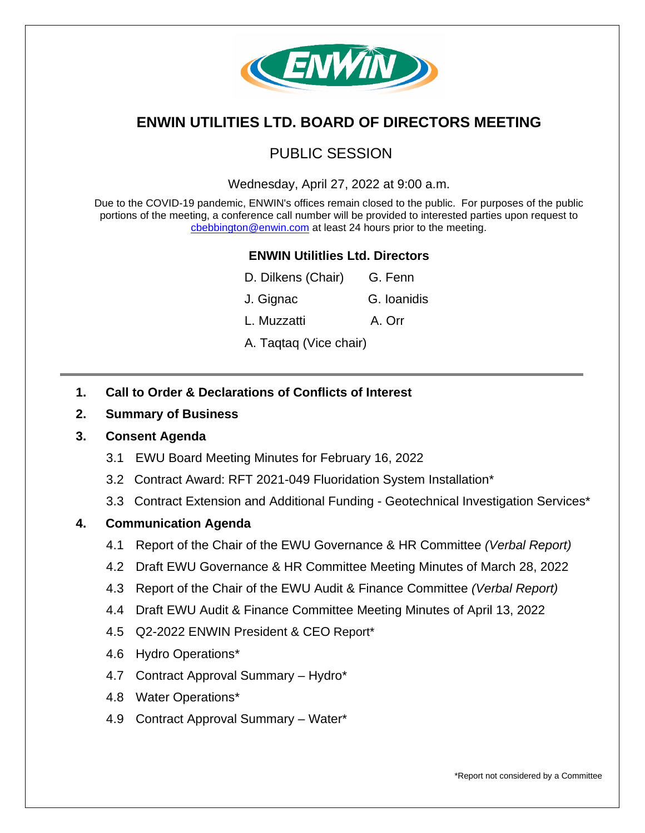

# **ENWIN UTILITIES LTD. BOARD OF DIRECTORS MEETING**

## PUBLIC SESSION

Wednesday, April 27, 2022 at 9:00 a.m.

Due to the COVID-19 pandemic, ENWIN's offices remain closed to the public. For purposes of the public portions of the meeting, a conference call number will be provided to interested parties upon request to [cbebbington@enwin.com](mailto:cbebbington@enwin.com) at least 24 hours prior to the meeting.

### **ENWIN Utilitlies Ltd. Directors**

| D. Dilkens (Chair)     | G. Fenn     |
|------------------------|-------------|
| J. Gignac              | G. Ioanidis |
| L. Muzzatti            | A. Orr      |
| A. Taqtaq (Vice chair) |             |

- **1. Call to Order & Declarations of Conflicts of Interest**
- **2. Summary of Business**

#### **3. Consent Agenda**

- 3.1 EWU Board Meeting Minutes for February 16, 2022
- 3.2 Contract Award: RFT 2021-049 Fluoridation System Installation\*
- 3.3 Contract Extension and Additional Funding Geotechnical Investigation Services\*

#### **4. Communication Agenda**

- 4.1 Report of the Chair of the EWU Governance & HR Committee *(Verbal Report)*
- 4.2 Draft EWU Governance & HR Committee Meeting Minutes of March 28, 2022
- 4.3 Report of the Chair of the EWU Audit & Finance Committee *(Verbal Report)*
- 4.4 Draft EWU Audit & Finance Committee Meeting Minutes of April 13, 2022
- 4.5 Q2-2022 ENWIN President & CEO Report\*
- 4.6 Hydro Operations\*
- 4.7 Contract Approval Summary Hydro\*
- 4.8 Water Operations\*
- 4.9 Contract Approval Summary Water\*